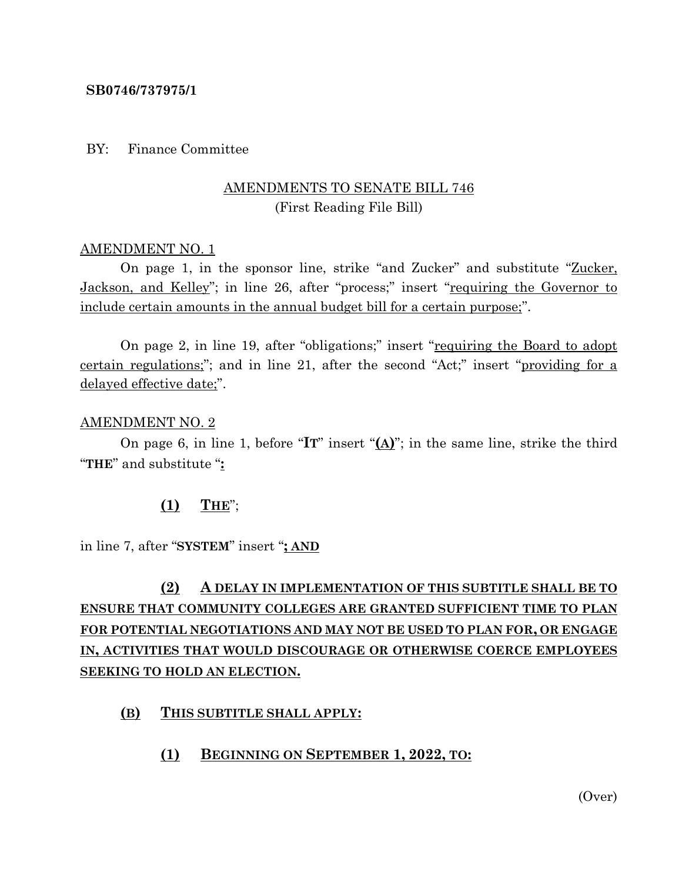#### **SB0746/737975/1**

#### BY: Finance Committee

## AMENDMENTS TO SENATE BILL 746 (First Reading File Bill)

#### AMENDMENT NO. 1

On page 1, in the sponsor line, strike "and Zucker" and substitute "Zucker, Jackson, and Kelley"; in line 26, after "process;" insert "requiring the Governor to include certain amounts in the annual budget bill for a certain purpose;".

On page 2, in line 19, after "obligations;" insert "requiring the Board to adopt certain regulations;"; and in line 21, after the second "Act;" insert "providing for a delayed effective date;".

#### AMENDMENT NO. 2

On page 6, in line 1, before "**IT**" insert "**(A)**"; in the same line, strike the third "**THE**" and substitute "**:**

#### **(1) THE**";

in line 7, after "**SYSTEM**" insert "**; AND**

# **(2) A DELAY IN IMPLEMENTATION OF THIS SUBTITLE SHALL BE TO ENSURE THAT COMMUNITY COLLEGES ARE GRANTED SUFFICIENT TIME TO PLAN FOR POTENTIAL NEGOTIATIONS AND MAY NOT BE USED TO PLAN FOR, OR ENGAGE IN, ACTIVITIES THAT WOULD DISCOURAGE OR OTHERWISE COERCE EMPLOYEES SEEKING TO HOLD AN ELECTION.**

### **(B) THIS SUBTITLE SHALL APPLY:**

#### **(1) BEGINNING ON SEPTEMBER 1, 2022, TO:**

(Over)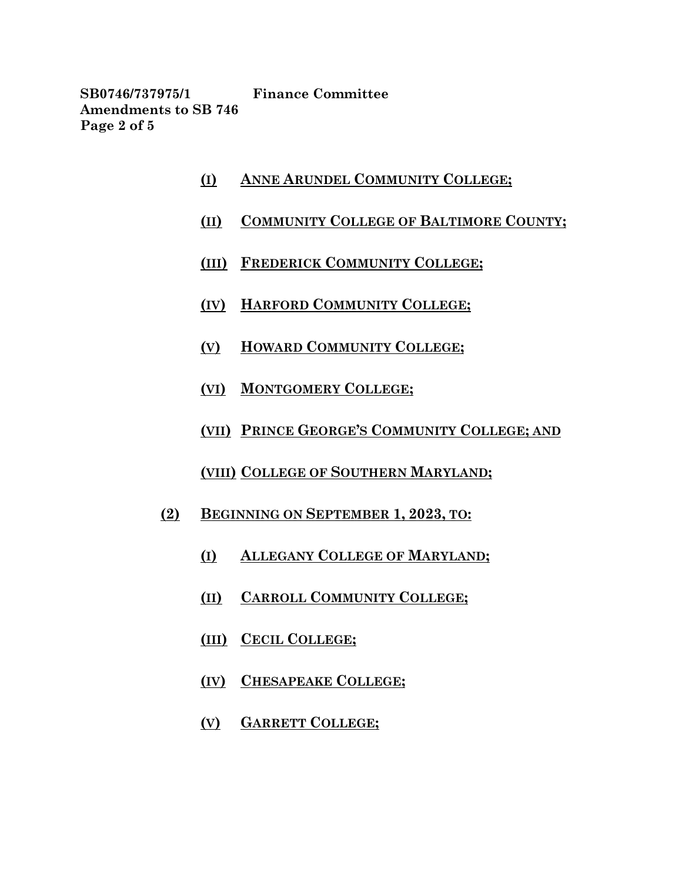**SB0746/737975/1 Finance Committee Amendments to SB 746 Page 2 of 5**

- **(I) ANNE ARUNDEL COMMUNITY COLLEGE;**
- **(II) COMMUNITY COLLEGE OF BALTIMORE COUNTY;**
- **(III) FREDERICK COMMUNITY COLLEGE;**
- **(IV) HARFORD COMMUNITY COLLEGE;**
- **(V) HOWARD COMMUNITY COLLEGE;**
- **(VI) MONTGOMERY COLLEGE;**
- **(VII) PRINCE GEORGE'S COMMUNITY COLLEGE; AND**
- **(VIII) COLLEGE OF SOUTHERN MARYLAND;**
- **(2) BEGINNING ON SEPTEMBER 1, 2023, TO:**
	- **(I) ALLEGANY COLLEGE OF MARYLAND;**
	- **(II) CARROLL COMMUNITY COLLEGE;**
	- **(III) CECIL COLLEGE;**
	- **(IV) CHESAPEAKE COLLEGE;**
	- **(V) GARRETT COLLEGE;**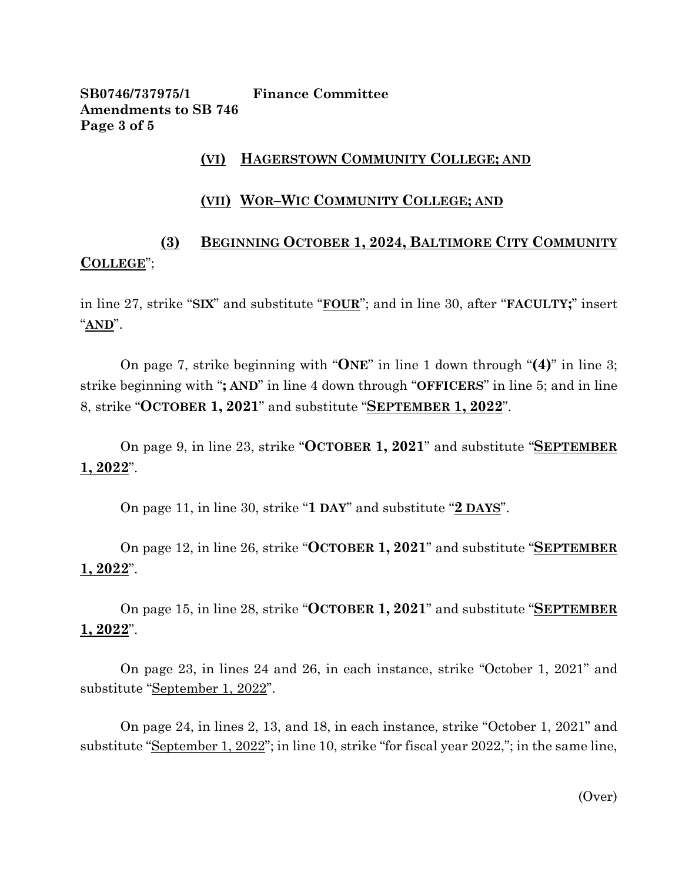**SB0746/737975/1 Finance Committee Amendments to SB 746 Page 3 of 5**

## **(VI) HAGERSTOWN COMMUNITY COLLEGE; AND**

### **(VII) WOR–WIC COMMUNITY COLLEGE; AND**

# **(3) BEGINNING OCTOBER 1, 2024, BALTIMORE CITY COMMUNITY COLLEGE**";

in line 27, strike "**SIX**" and substitute "**FOUR**"; and in line 30, after "**FACULTY;**" insert "**AND**".

On page 7, strike beginning with "**ONE**" in line 1 down through "**(4)**" in line 3; strike beginning with "**; AND**" in line 4 down through "**OFFICERS**" in line 5; and in line 8, strike "**OCTOBER 1, 2021**" and substitute "**SEPTEMBER 1, 2022**".

On page 9, in line 23, strike "**OCTOBER 1, 2021**" and substitute "**SEPTEMBER 1, 2022**".

On page 11, in line 30, strike "**1 DAY**" and substitute "**2 DAYS**".

On page 12, in line 26, strike "**OCTOBER 1, 2021**" and substitute "**SEPTEMBER 1, 2022**".

On page 15, in line 28, strike "**OCTOBER 1, 2021**" and substitute "**SEPTEMBER 1, 2022**".

On page 23, in lines 24 and 26, in each instance, strike "October 1, 2021" and substitute "September 1, 2022".

On page 24, in lines 2, 13, and 18, in each instance, strike "October 1, 2021" and substitute "September 1, 2022"; in line 10, strike "for fiscal year 2022,"; in the same line,

(Over)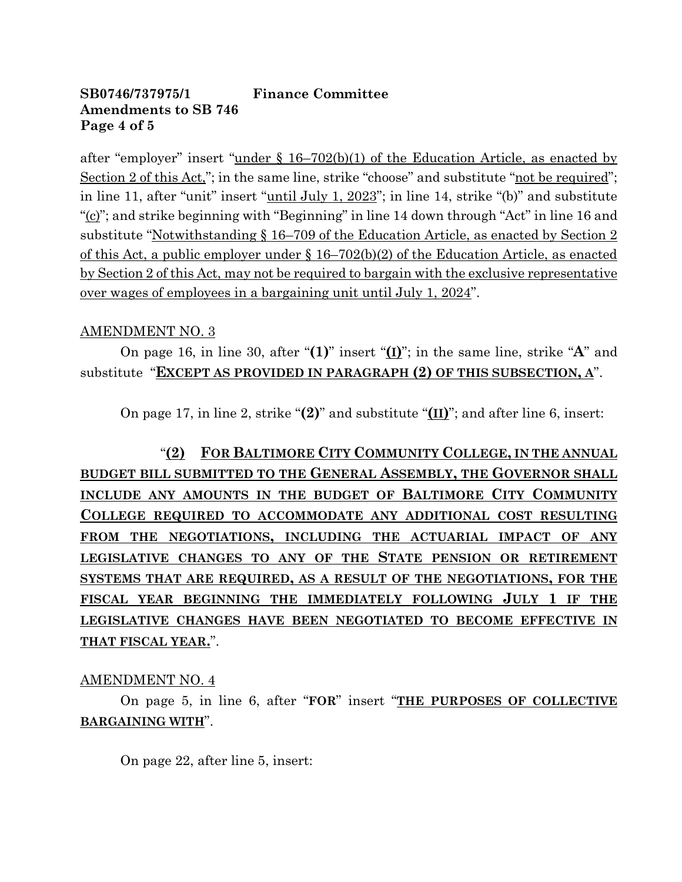# **SB0746/737975/1 Finance Committee Amendments to SB 746 Page 4 of 5**

after "employer" insert "under § 16–702(b)(1) of the Education Article, as enacted by Section 2 of this Act,"; in the same line, strike "choose" and substitute "not be required"; in line 11, after "unit" insert "until July 1, 2023"; in line 14, strike "(b)" and substitute "(c)"; and strike beginning with "Beginning" in line 14 down through "Act" in line 16 and substitute "Notwithstanding § 16–709 of the Education Article, as enacted by Section 2 of this Act, a public employer under § 16–702(b)(2) of the Education Article, as enacted by Section 2 of this Act, may not be required to bargain with the exclusive representative over wages of employees in a bargaining unit until July 1, 2024".

# AMENDMENT NO. 3

On page 16, in line 30, after "**(1)**" insert "**(I)**"; in the same line, strike "**A**" and substitute "**EXCEPT AS PROVIDED IN PARAGRAPH (2) OF THIS SUBSECTION, A**".

On page 17, in line 2, strike "**(2)**" and substitute "**(II)**"; and after line 6, insert:

"**(2) FOR BALTIMORE CITY COMMUNITY COLLEGE, IN THE ANNUAL BUDGET BILL SUBMITTED TO THE GENERAL ASSEMBLY, THE GOVERNOR SHALL INCLUDE ANY AMOUNTS IN THE BUDGET OF BALTIMORE CITY COMMUNITY COLLEGE REQUIRED TO ACCOMMODATE ANY ADDITIONAL COST RESULTING FROM THE NEGOTIATIONS, INCLUDING THE ACTUARIAL IMPACT OF ANY LEGISLATIVE CHANGES TO ANY OF THE STATE PENSION OR RETIREMENT SYSTEMS THAT ARE REQUIRED, AS A RESULT OF THE NEGOTIATIONS, FOR THE FISCAL YEAR BEGINNING THE IMMEDIATELY FOLLOWING JULY 1 IF THE LEGISLATIVE CHANGES HAVE BEEN NEGOTIATED TO BECOME EFFECTIVE IN THAT FISCAL YEAR.**".

### AMENDMENT NO. 4

On page 5, in line 6, after "**FOR**" insert "**THE PURPOSES OF COLLECTIVE BARGAINING WITH**".

On page 22, after line 5, insert: